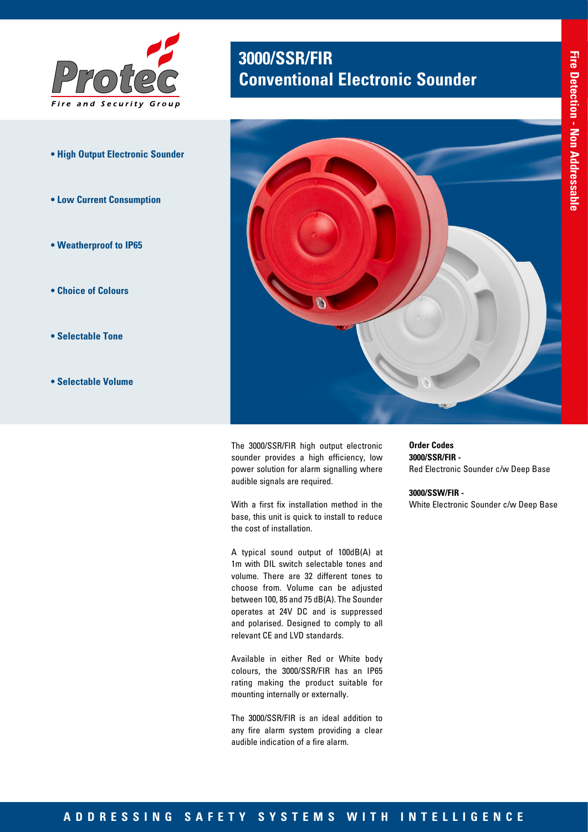

- **High Output Electronic Sounder**
- **Low Current Consumption**
- **Weatherproof to IP65**
- **Choice of Colours**
- **Selectable Tone**
- **Selectable Volume**

# **3000/SSR/FIR Conventional Electronic Sounder**



The 3000/SSR/FIR high output electronic sounder provides a high efficiency, low power solution for alarm signalling where audible signals are required.

With a first fix installation method in the base, this unit is quick to install to reduce the cost of installation.

A typical sound output of 100dB(A) at 1m with DIL switch selectable tones and volume. There are 32 different tones to choose from. Volume can be adjusted between 100, 85 and 75 dB(A). The Sounder operates at 24V DC and is suppressed and polarised. Designed to comply to all relevant CE and LVD standards.

Available in either Red or White body colours, the 3000/SSR/FIR has an IP65 rating making the product suitable for mounting internally or externally.

The 3000/SSR/FIR is an ideal addition to any fire alarm system providing a clear audible indication of a fire alarm.

**Order Codes 3000/SSR/FIR -** Red Electronic Sounder c/w Deep Base

#### **3000/SSW/FIR -**

White Electronic Sounder c/w Deep Base